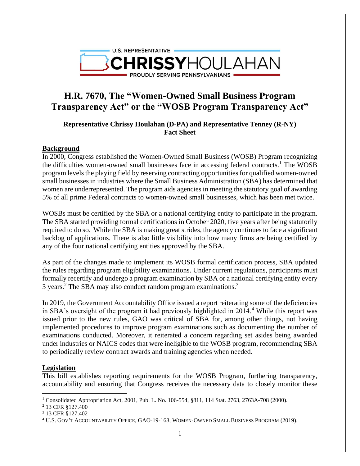

# **H.R. 7670, The "Women-Owned Small Business Program Transparency Act" or the "WOSB Program Transparency Act"**

**Representative Chrissy Houlahan (D-PA) and Representative Tenney (R-NY) Fact Sheet**

### **Background**

In 2000, Congress established the Women-Owned Small Business (WOSB) Program recognizing the difficulties women-owned small businesses face in accessing federal contracts.<sup>1</sup> The WOSB program levels the playing field by reserving contracting opportunities for qualified women-owned small businesses in industries where the Small Business Administration (SBA) has determined that women are underrepresented. The program aids agencies in meeting the statutory goal of awarding 5% of all prime Federal contracts to women-owned small businesses, which has been met twice.

WOSBs must be certified by the SBA or a national certifying entity to participate in the program. The SBA started providing formal certifications in October 2020, five years after being statutorily required to do so. While the SBA is making great strides, the agency continues to face a significant backlog of applications. There is also little visibility into how many firms are being certified by any of the four national certifying entities approved by the SBA.

As part of the changes made to implement its WOSB formal certification process, SBA updated the rules regarding program eligibility examinations. Under current regulations, participants must formally recertify and undergo a program examination by SBA or a national certifying entity every 3 years.<sup>2</sup> The SBA may also conduct random program examinations.<sup>3</sup>

In 2019, the Government Accountability Office issued a report reiterating some of the deficiencies in SBA's oversight of the program it had previously highlighted in  $2014<sup>4</sup>$  While this report was issued prior to the new rules, GAO was critical of SBA for, among other things, not having implemented procedures to improve program examinations such as documenting the number of examinations conducted. Moreover, it reiterated a concern regarding set asides being awarded under industries or NAICS codes that were ineligible to the WOSB program, recommending SBA to periodically review contract awards and training agencies when needed.

### **Legislation**

This bill establishes reporting requirements for the WOSB Program, furthering transparency, accountability and ensuring that Congress receives the necessary data to closely monitor these

<sup>2</sup> 13 CFR §127.400

<sup>&</sup>lt;sup>1</sup> Consolidated Appropriation Act, 2001, Pub. L. No. 106-554, §811, 114 Stat. 2763, 2763A-708 (2000).

<sup>3</sup> 13 CFR §127.402

<sup>4</sup> U.S. GOV'T ACCOUNTABILITY OFFICE, GAO-19-168, WOMEN-OWNED SMALL BUSINESS PROGRAM (2019).